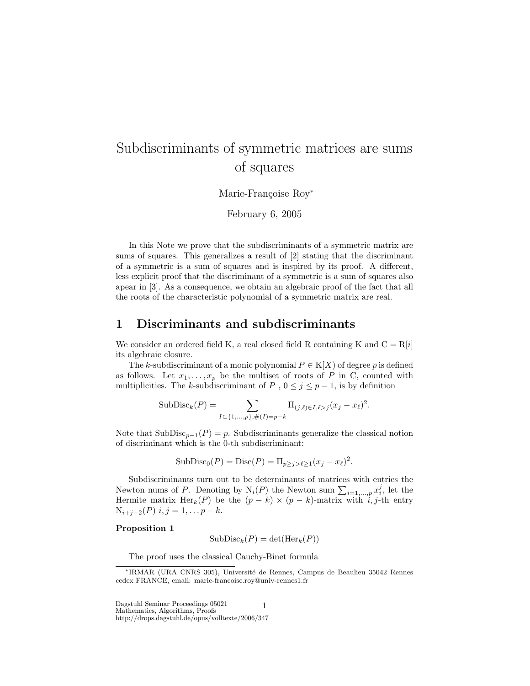# Subdiscriminants of symmetric matrices are sums of squares

Marie-Françoise Roy<sup>\*</sup>

February 6, 2005

In this Note we prove that the subdiscriminants of a symmetric matrix are sums of squares. This generalizes a result of [2] stating that the discriminant of a symmetric is a sum of squares and is inspired by its proof. A different, less explicit proof that the discriminant of a symmetric is a sum of squares also apear in [3]. As a consequence, we obtain an algebraic proof of the fact that all the roots of the characteristic polynomial of a symmetric matrix are real.

### 1 Discriminants and subdiscriminants

We consider an ordered field K, a real closed field R containing K and  $C = R[i]$ its algebraic closure.

The k-subdiscriminant of a monic polynomial  $P \in K[X]$  of degree p is defined as follows. Let  $x_1, \ldots, x_p$  be the multiset of roots of P in C, counted with multiplicities. The k-subdiscriminant of P,  $0 \leq j \leq p-1$ , is by definition

SubDisc<sub>k</sub>
$$
(P)
$$
 = 
$$
\sum_{I \subset \{1,...,p\}, \#(I)=p-k} \Pi_{(j,\ell) \in I, \ell > j} (x_j - x_\ell)^2.
$$

Note that  $\text{SubDisc}_{p-1}(P) = p$ . Subdiscriminants generalize the classical notion of discriminant which is the 0-th subdiscriminant:

$$
SubDisc0(P) = Disc(P) = \Pi_{p \ge j > \ell \ge 1}(x_j - x_{\ell})^2.
$$

Subdiscriminants turn out to be determinants of matrices with entries the Newton nums of P. Denoting by  $N_i(P)$  the Newton sum  $\sum_{i=1,\dots,p} x_i^j$ , let the Hermite matrix Her<sub>k</sub>(P) be the  $(p - k) \times (p - k)$ -matrix with  $\hat{i}$ , j-th entry  $N_{i+j-2}(P)$  i, j = 1, ...  $p - k$ .

#### Proposition 1

$$
SubDisc_k(P) = det(Her_k(P))
$$

The proof uses the classical Cauchy-Binet formula

 ${\bf Dagstuhl\ Seminar\ Proceedings\ 05021\qquad \qquad 1}$ Mathematics, Algorithms, Proofs http://drops.dagstuhl.de/opus/volltexte/2006/347

<sup>∗</sup>IRMAR (URA CNRS 305), Universit´e de Rennes, Campus de Beaulieu 35042 Rennes cedex FRANCE, email: marie-francoise.roy@univ-rennes1.fr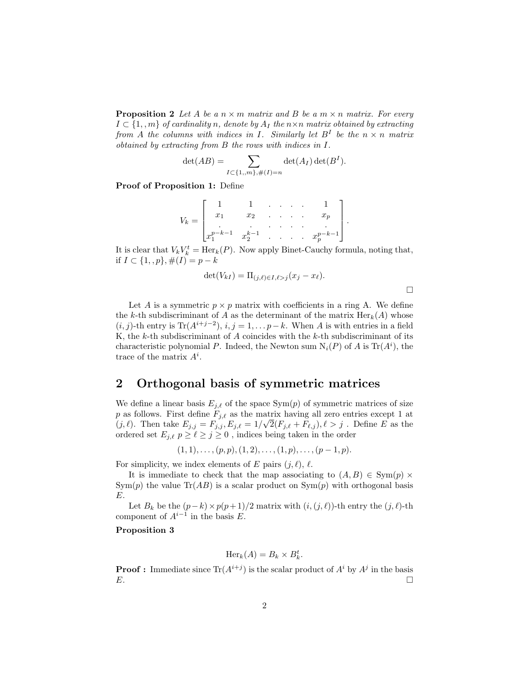**Proposition 2** Let A be a  $n \times m$  matrix and B be a  $m \times n$  matrix. For every  $I \subset \{1, m\}$  of cardinality n, denote by  $A_I$  the  $n \times n$  matrix obtained by extracting from A the columns with indices in I. Similarly let  $B<sup>I</sup>$  be the  $n \times n$  matrix obtained by extracting from B the rows with indices in I.

$$
\det(AB) = \sum_{I \subset \{1,m\}, \#(I) = n} \det(A_I) \det(B^I).
$$

Proof of Proposition 1: Define

$$
V_k = \begin{bmatrix} 1 & 1 & \dots & 1 \\ x_1 & x_2 & \dots & x_p \\ x_1^{p-k-1} & x_2^{k-1} & \dots & x_p^{p-k-1} \end{bmatrix}.
$$

It is clear that  $V_k V_k^t = \text{Her}_k(P)$ . Now apply Binet-Cauchy formula, noting that, if *I* ⊂ {1, *, p*},  $#(I) = p - k$ 

$$
\det(V_{kI}) = \Pi_{(j,\ell)\in I,\ell>j}(x_j - x_\ell).
$$

Let A is a symmetric  $p \times p$  matrix with coefficients in a ring A. We define the k-th subdiscriminant of A as the determinant of the matrix  $Her_k(A)$  whose  $(i, j)$ -th entry is Tr $(A^{i+j-2}), i, j = 1, \ldots p-k$ . When A is with entries in a field K, the  $k$ -th subdiscriminant of  $A$  coincides with the  $k$ -th subdiscriminant of its characteristic polynomial P. Indeed, the Newton sum  $N_i(P)$  of A is  $Tr(A^i)$ , the trace of the matrix  $A^i$ .

## 2 Orthogonal basis of symmetric matrices

We define a linear basis  $E_{j,\ell}$  of the space Sym(p) of symmetric matrices of size p as follows. First define  $F_{j,\ell}$  as the matrix having all zero entries except 1 at  $(j, \ell)$ . Then take  $E_{j,j} = F_{j,j}$ ,  $E_{j,\ell} = 1/\sqrt{2(F_{j,\ell} + F_{\ell,j})}$ ,  $\ell > j$ . Define E as the ordered set  $E_{j,\ell}$   $p \geq \ell \geq j \geq 0$ , indices being taken in the order

$$
(1,1),\ldots,(p,p),(1,2),\ldots,(1,p),\ldots,(p-1,p).
$$

For simplicity, we index elements of E pairs  $(j, \ell)$ ,  $\ell$ .

It is immediate to check that the map associating to  $(A, B) \in \text{Sym}(p) \times$  $Sym(p)$  the value  $Tr(AB)$  is a scalar product on  $Sym(p)$  with orthogonal basis E.

Let  $B_k$  be the  $(p-k)\times p(p+1)/2$  matrix with  $(i,(j,\ell))$ -th entry the  $(j,\ell)$ -th component of  $A^{i-1}$  in the basis E.

#### Proposition 3

$$
\text{Her}_k(A) = B_k \times B_k^t.
$$

**Proof**: Immediate since  $\text{Tr}(A^{i+j})$  is the scalar product of  $A^i$  by  $A^j$  in the basis  $E.$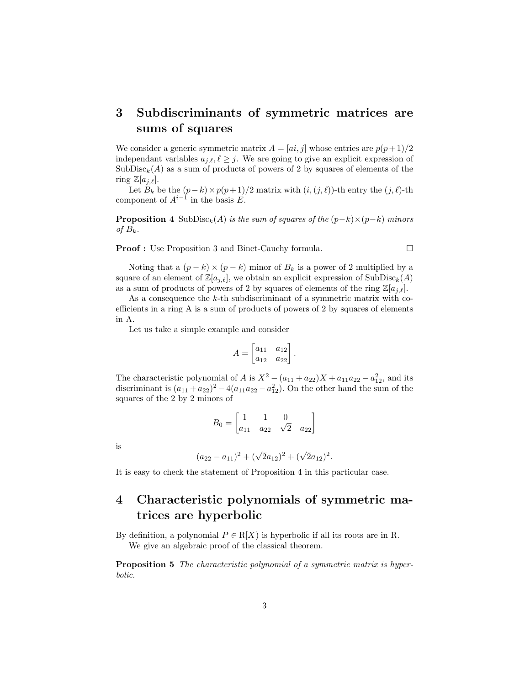## 3 Subdiscriminants of symmetric matrices are sums of squares

We consider a generic symmetric matrix  $A = [ai, j]$  whose entries are  $p(p+1)/2$ independant variables  $a_{i,\ell}, \ell \geq j$ . We are going to give an explicit expression of  $SubDisc_{k}(A)$  as a sum of products of powers of 2 by squares of elements of the ring  $\mathbb{Z}[a_{i,\ell}].$ 

Let  $B_k$  be the  $(p-k)\times p(p+1)/2$  matrix with  $(i,(j,\ell))$ -th entry the  $(j,\ell)$ -th component of  $A^{i-1}$  in the basis E.

**Proposition 4** SubDisc<sub>k</sub>(A) is the sum of squares of the  $(p-k)\times(p-k)$  minors of  $B_k$ .

**Proof :** Use Proposition 3 and Binet-Cauchy formula. □

Noting that a  $(p - k) \times (p - k)$  minor of  $B_k$  is a power of 2 multiplied by a square of an element of  $\mathbb{Z}[a_{j,\ell}]$ , we obtain an explicit expression of SubDisc<sub>k</sub>(A) as a sum of products of powers of 2 by squares of elements of the ring  $\mathbb{Z}[a_{j,\ell}].$ 

As a consequence the  $k$ -th subdiscriminant of a symmetric matrix with coefficients in a ring A is a sum of products of powers of 2 by squares of elements in A.

Let us take a simple example and consider

$$
A = \begin{bmatrix} a_{11} & a_{12} \\ a_{12} & a_{22} \end{bmatrix}.
$$

The characteristic polynomial of A is  $X^2 - (a_{11} + a_{22})X + a_{11}a_{22} - a_{12}^2$ , and its discriminant is  $(a_{11} + a_{22})^2 - 4(a_{11}a_{22} - a_{12}^2)$ . On the other hand the sum of the squares of the 2 by 2 minors of

$$
B_0 = \begin{bmatrix} 1 & 1 & 0 \\ a_{11} & a_{22} & \sqrt{2} & a_{22} \end{bmatrix}
$$

is

$$
(a_{22}-a_{11})^2+(\sqrt{2}a_{12})^2+(\sqrt{2}a_{12})^2.
$$

It is easy to check the statement of Proposition 4 in this particular case.

## 4 Characteristic polynomials of symmetric matrices are hyperbolic

By definition, a polynomial  $P \in R[X]$  is hyperbolic if all its roots are in R. We give an algebraic proof of the classical theorem.

**Proposition 5** The characteristic polynomial of a symmetric matrix is hyperbolic.